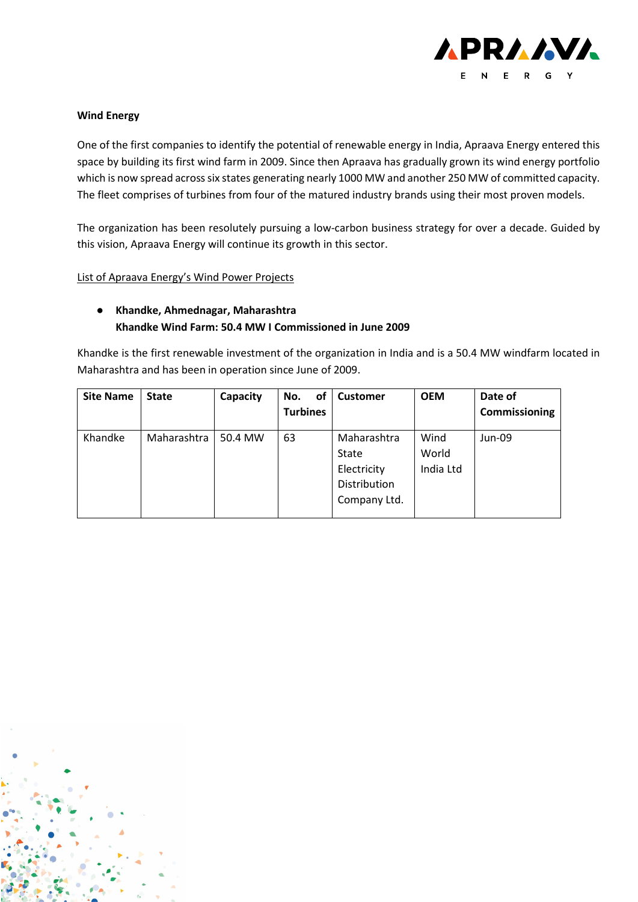

#### **Wind Energy**

One of the first companies to identify the potential of renewable energy in India, Apraava Energy entered this space by building its first wind farm in 2009. Since then Apraava has gradually grown its wind energy portfolio which is now spread across six states generating nearly 1000 MW and another 250 MW of committed capacity. The fleet comprises of turbines from four of the matured industry brands using their most proven models.

The organization has been resolutely pursuing a low-carbon business strategy for over a decade. Guided by this vision, Apraava Energy will continue its growth in this sector.

List of Apraava Energy's Wind Power Projects

#### ● **Khandke, Ahmednagar, Maharashtra Khandke Wind Farm: 50.4 MW I Commissioned in June 2009**

Khandke is the first renewable investment of the organization in India and is a 50.4 MW windfarm located in Maharashtra and has been in operation since June of 2009.

| <b>Site Name</b> | <b>State</b> | Capacity | of<br>No.<br><b>Turbines</b> | Customer                                                                   | <b>OEM</b>                 | Date of<br>Commissioning |
|------------------|--------------|----------|------------------------------|----------------------------------------------------------------------------|----------------------------|--------------------------|
| Khandke          | Maharashtra  | 50.4 MW  | 63                           | Maharashtra<br><b>State</b><br>Electricity<br>Distribution<br>Company Ltd. | Wind<br>World<br>India Ltd | Jun-09                   |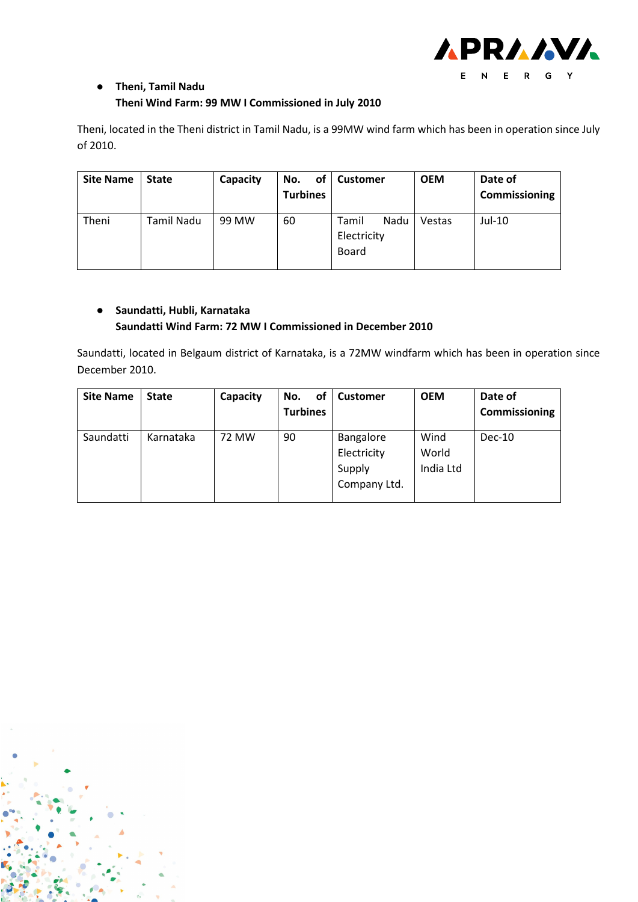

# ● **Theni, Tamil Nadu Theni Wind Farm: 99 MW I Commissioned in July 2010**

Theni, located in the Theni district in Tamil Nadu, is a 99MW wind farm which has been in operation since July of 2010.

| <b>Site Name</b> | <b>State</b> | Capacity | No.<br>оf<br><b>Turbines</b> | <b>Customer</b>                              | <b>OEM</b> | Date of<br>Commissioning |
|------------------|--------------|----------|------------------------------|----------------------------------------------|------------|--------------------------|
| Theni            | Tamil Nadu   | 99 MW    | 60                           | Nadu<br>Tamil<br>Electricity<br><b>Board</b> | Vestas     | Jul-10                   |

# ● **Saundatti, Hubli, Karnataka Saundatti Wind Farm: 72 MW I Commissioned in December 2010**

Saundatti, located in Belgaum district of Karnataka, is a 72MW windfarm which has been in operation since December 2010.

| <b>Site Name</b> | <b>State</b> | Capacity | of<br>No.<br><b>Turbines</b> | <b>Customer</b>                                    | <b>OEM</b>                 | Date of<br>Commissioning |
|------------------|--------------|----------|------------------------------|----------------------------------------------------|----------------------------|--------------------------|
| Saundatti        | Karnataka    | 72 MW    | 90                           | Bangalore<br>Electricity<br>Supply<br>Company Ltd. | Wind<br>World<br>India Ltd | $Dec-10$                 |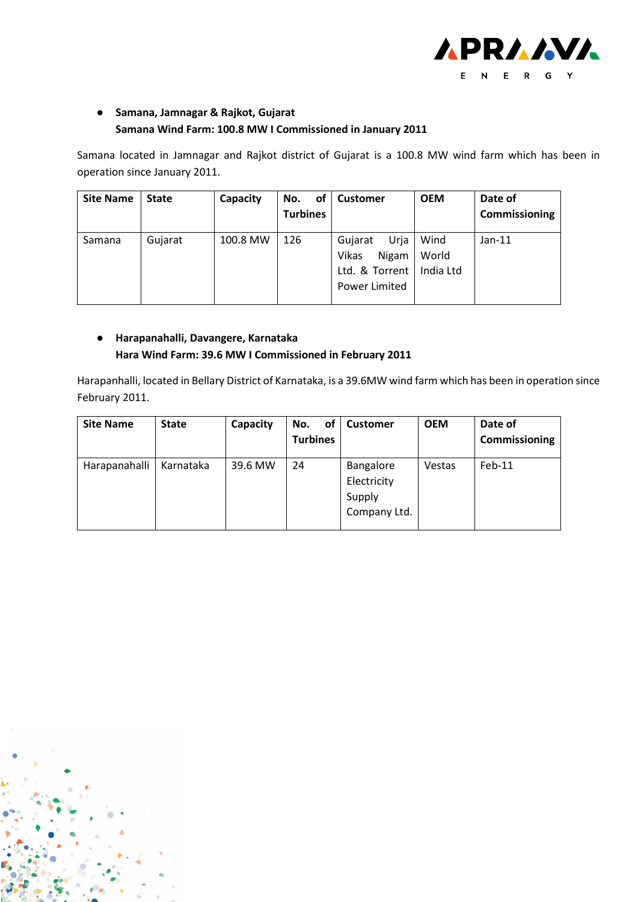

# ● **Samana, Jamnagar & Rajkot, Gujarat Samana Wind Farm: 100.8 MW I Commissioned in January 2011**

Samana located in Jamnagar and Rajkot district of Gujarat is a 100.8 MW wind farm which has been in operation since January 2011.

| <b>Site Name</b> | <b>State</b> | Capacity | <b>of</b><br>No.<br><b>Turbines</b> | <b>Customer</b>                                                      | <b>OEM</b>                 | Date of<br>Commissioning |
|------------------|--------------|----------|-------------------------------------|----------------------------------------------------------------------|----------------------------|--------------------------|
| Samana           | Gujarat      | 100.8 MW | 126                                 | Urja<br>Gujarat<br>Nigam<br>Vikas<br>Ltd. & Torrent<br>Power Limited | Wind<br>World<br>India Ltd | $Jan-11$                 |

### ● **Harapanahalli, Davangere, Karnataka Hara Wind Farm: 39.6 MW I Commissioned in February 2011**

Harapanhalli, located in Bellary District of Karnataka, is a 39.6MW wind farm which has been in operation since February 2011.

| <b>Site Name</b> | <b>State</b> | Capacity | No.<br>οf<br><b>Turbines</b> | <b>Customer</b>                                    | <b>OEM</b>    | Date of<br>Commissioning |
|------------------|--------------|----------|------------------------------|----------------------------------------------------|---------------|--------------------------|
| Harapanahalli    | Karnataka    | 39.6 MW  | 24                           | Bangalore<br>Electricity<br>Supply<br>Company Ltd. | <b>Vestas</b> | $Feb-11$                 |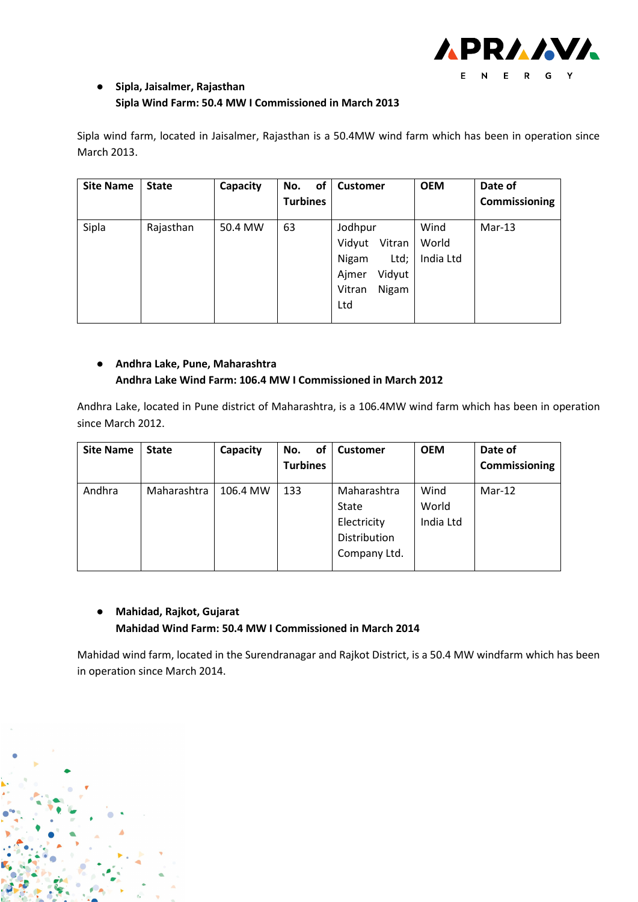

### ● **Sipla, Jaisalmer, Rajasthan Sipla Wind Farm: 50.4 MW I Commissioned in March 2013**

Sipla wind farm, located in Jaisalmer, Rajasthan is a 50.4MW wind farm which has been in operation since March 2013.

| <b>Site Name</b> | <b>State</b> | Capacity | of<br>No.       | <b>Customer</b>                                                                           | <b>OEM</b>                 | Date of       |
|------------------|--------------|----------|-----------------|-------------------------------------------------------------------------------------------|----------------------------|---------------|
|                  |              |          | <b>Turbines</b> |                                                                                           |                            | Commissioning |
| Sipla            | Rajasthan    | 50.4 MW  | 63              | Jodhpur<br>Vitran<br>Vidyut<br>Nigam<br>Ltd;<br>Ajmer<br>Vidyut<br>Nigam<br>Vitran<br>Ltd | Wind<br>World<br>India Ltd | $Mar-13$      |

### ● **Andhra Lake, Pune, Maharashtra Andhra Lake Wind Farm: 106.4 MW I Commissioned in March 2012**

Andhra Lake, located in Pune district of Maharashtra, is a 106.4MW wind farm which has been in operation since March 2012.

| <b>Site Name</b> | <b>State</b> | Capacity | of<br>No.       | <b>Customer</b>                                                     | <b>OEM</b>                 | Date of       |
|------------------|--------------|----------|-----------------|---------------------------------------------------------------------|----------------------------|---------------|
|                  |              |          | <b>Turbines</b> |                                                                     |                            | Commissioning |
| Andhra           | Maharashtra  | 106.4 MW | 133             | Maharashtra<br>State<br>Electricity<br>Distribution<br>Company Ltd. | Wind<br>World<br>India Ltd | $Mar-12$      |

#### ● **Mahidad, Rajkot, Gujarat Mahidad Wind Farm: 50.4 MW I Commissioned in March 2014**

Mahidad wind farm, located in the Surendranagar and Rajkot District, is a 50.4 MW windfarm which has been in operation since March 2014.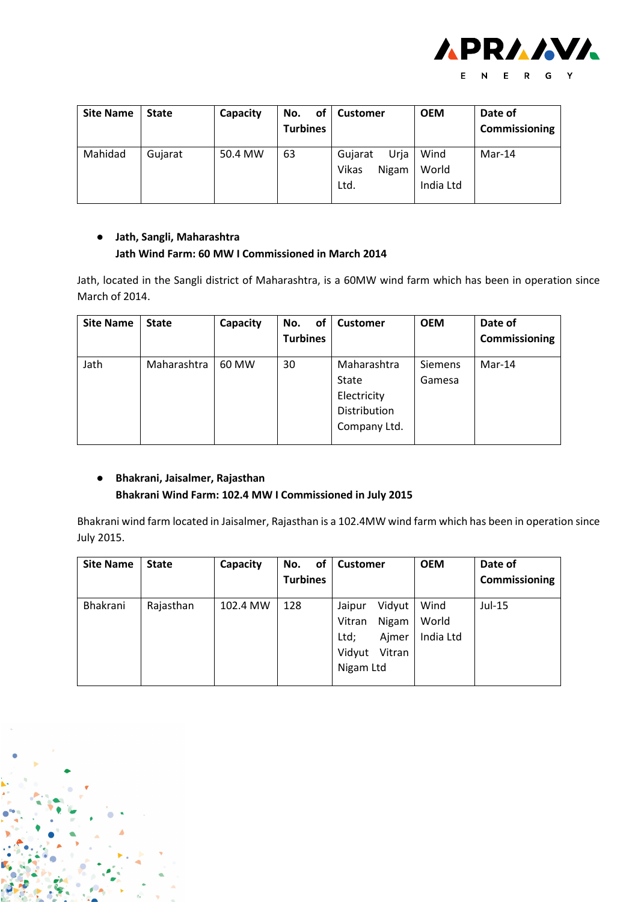

| <b>Site Name</b> | <b>State</b> | Capacity | <b>of</b><br>No.<br><b>Turbines</b> | <b>Customer</b>                           | <b>OEM</b>                 | Date of<br>Commissioning |
|------------------|--------------|----------|-------------------------------------|-------------------------------------------|----------------------------|--------------------------|
| Mahidad          | Gujarat      | 50.4 MW  | 63                                  | Urja<br>Gujarat<br>Vikas<br>Nigam<br>Ltd. | Wind<br>World<br>India Ltd | $Mar-14$                 |

#### ● **Jath, Sangli, Maharashtra Jath Wind Farm: 60 MW I Commissioned in March 2014**

Jath, located in the Sangli district of Maharashtra, is a 60MW wind farm which has been in operation since March of 2014.

| <b>Site Name</b> | <b>State</b> | Capacity | of<br>No.<br><b>Turbines</b> | <b>Customer</b>                                                     | <b>OEM</b>        | Date of<br>Commissioning |
|------------------|--------------|----------|------------------------------|---------------------------------------------------------------------|-------------------|--------------------------|
| Jath             | Maharashtra  | 60 MW    | 30                           | Maharashtra<br>State<br>Electricity<br>Distribution<br>Company Ltd. | Siemens<br>Gamesa | $Mar-14$                 |

# ● **Bhakrani, Jaisalmer, Rajasthan Bhakrani Wind Farm: 102.4 MW I Commissioned in July 2015**

Bhakrani wind farm located in Jaisalmer, Rajasthan is a 102.4MW wind farm which has been in operation since July 2015.

| <b>Site Name</b> | <b>State</b> | Capacity | of<br>No.<br><b>Turbines</b> | <b>Customer</b>                                                                       | <b>OEM</b>                 | Date of<br><b>Commissioning</b> |
|------------------|--------------|----------|------------------------------|---------------------------------------------------------------------------------------|----------------------------|---------------------------------|
| Bhakrani         | Rajasthan    | 102.4 MW | 128                          | Vidyut<br>Jaipur<br>Nigam<br>Vitran<br>Ltd;<br>Ajmer<br>Vidyut<br>Vitran<br>Nigam Ltd | Wind<br>World<br>India Ltd | Jul-15                          |